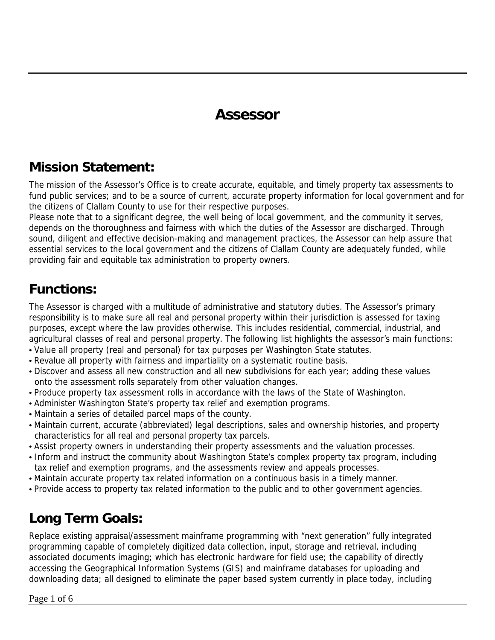## **Assessor**

#### **Mission Statement:**

The mission of the Assessor's Office is to create accurate, equitable, and timely property tax assessments to fund public services; and to be a source of current, accurate property information for local government and for the citizens of Clallam County to use for their respective purposes.

Please note that to a significant degree, the well being of local government, and the community it serves, depends on the thoroughness and fairness with which the duties of the Assessor are discharged. Through sound, diligent and effective decision-making and management practices, the Assessor can help assure that essential services to the local government and the citizens of Clallam County are adequately funded, while providing fair and equitable tax administration to property owners.

### **Functions:**

The Assessor is charged with a multitude of administrative and statutory duties. The Assessor's primary responsibility is to make sure all real and personal property within their jurisdiction is assessed for taxing purposes, except where the law provides otherwise. This includes residential, commercial, industrial, and agricultural classes of real and personal property. The following list highlights the assessor's main functions:

- Value all property (real and personal) for tax purposes per Washington State statutes.
- Revalue all property with fairness and impartiality on a systematic routine basis.
- Discover and assess all new construction and all new subdivisions for each year; adding these values onto the assessment rolls separately from other valuation changes.
- Produce property tax assessment rolls in accordance with the laws of the State of Washington.
- Administer Washington State's property tax relief and exemption programs.
- Maintain a series of detailed parcel maps of the county.
- Maintain current, accurate (abbreviated) legal descriptions, sales and ownership histories, and property characteristics for all real and personal property tax parcels.
- Assist property owners in understanding their property assessments and the valuation processes.
- Inform and instruct the community about Washington State's complex property tax program, including tax relief and exemption programs, and the assessments review and appeals processes.
- Maintain accurate property tax related information on a continuous basis in a timely manner.
- Provide access to property tax related information to the public and to other government agencies.

## **Long Term Goals:**

Replace existing appraisal/assessment mainframe programming with "next generation" fully integrated programming capable of completely digitized data collection, input, storage and retrieval, including associated documents imaging; which has electronic hardware for field use; the capability of directly accessing the Geographical Information Systems (GIS) and mainframe databases for uploading and downloading data; all designed to eliminate the paper based system currently in place today, including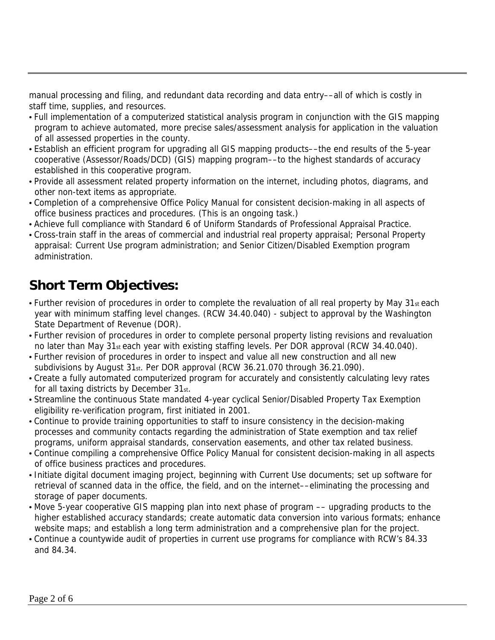manual processing and filing, and redundant data recording and data entry––all of which is costly in staff time, supplies, and resources.

- Full implementation of a computerized statistical analysis program in conjunction with the GIS mapping program to achieve automated, more precise sales/assessment analysis for application in the valuation of all assessed properties in the county.
- Establish an efficient program for upgrading all GIS mapping products––the end results of the 5-year cooperative (Assessor/Roads/DCD) (GIS) mapping program––to the highest standards of accuracy established in this cooperative program.
- Provide all assessment related property information on the internet, including photos, diagrams, and other non-text items as appropriate.
- Completion of a comprehensive Office Policy Manual for consistent decision-making in all aspects of office business practices and procedures. (This is an ongoing task.)
- Achieve full compliance with Standard 6 of Uniform Standards of Professional Appraisal Practice.
- Cross-train staff in the areas of commercial and industrial real property appraisal; Personal Property appraisal: Current Use program administration; and Senior Citizen/Disabled Exemption program administration.

## **Short Term Objectives:**

- Further revision of procedures in order to complete the revaluation of all real property by May 31st each year with minimum staffing level changes. (RCW 34.40.040) - subject to approval by the Washington State Department of Revenue (DOR).
- Further revision of procedures in order to complete personal property listing revisions and revaluation no later than May 31st each year with existing staffing levels. Per DOR approval (RCW 34.40.040).
- Further revision of procedures in order to inspect and value all new construction and all new subdivisions by August 31st. Per DOR approval (RCW 36.21.070 through 36.21.090).
- Create a fully automated computerized program for accurately and consistently calculating levy rates for all taxing districts by December 31st.
- Streamline the continuous State mandated 4-year cyclical Senior/Disabled Property Tax Exemption eligibility re-verification program, first initiated in 2001.
- Continue to provide training opportunities to staff to insure consistency in the decision-making processes and community contacts regarding the administration of State exemption and tax relief programs, uniform appraisal standards, conservation easements, and other tax related business.
- Continue compiling a comprehensive Office Policy Manual for consistent decision-making in all aspects of office business practices and procedures.
- Initiate digital document imaging project, beginning with Current Use documents; set up software for retrieval of scanned data in the office, the field, and on the internet––eliminating the processing and storage of paper documents.
- Move 5-year cooperative GIS mapping plan into next phase of program –– upgrading products to the higher established accuracy standards; create automatic data conversion into various formats; enhance website maps; and establish a long term administration and a comprehensive plan for the project.
- Continue a countywide audit of properties in current use programs for compliance with RCW's 84.33 and 84.34.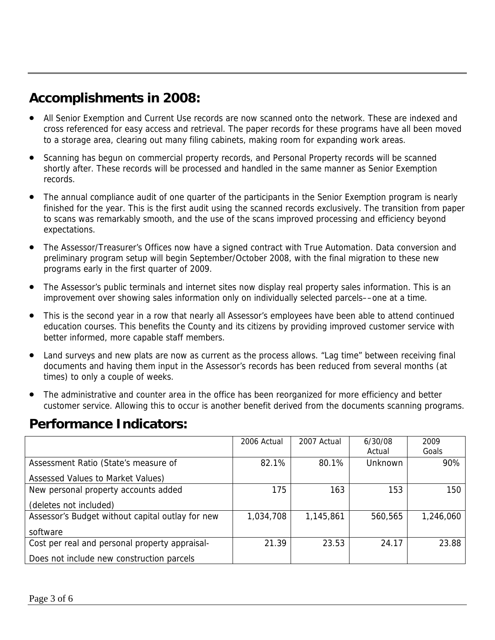## **Accomplishments in 2008:**

- All Senior Exemption and Current Use records are now scanned onto the network. These are indexed and cross referenced for easy access and retrieval. The paper records for these programs have all been moved to a storage area, clearing out many filing cabinets, making room for expanding work areas.
- Scanning has begun on commercial property records, and Personal Property records will be scanned shortly after. These records will be processed and handled in the same manner as Senior Exemption records.
- The annual compliance audit of one quarter of the participants in the Senior Exemption program is nearly finished for the year. This is the first audit using the scanned records exclusively. The transition from paper to scans was remarkably smooth, and the use of the scans improved processing and efficiency beyond expectations.
- The Assessor/Treasurer's Offices now have a signed contract with True Automation. Data conversion and preliminary program setup will begin September/October 2008, with the final migration to these new programs early in the first quarter of 2009.
- The Assessor's public terminals and internet sites now display real property sales information. This is an improvement over showing sales information only on individually selected parcels––one at a time.
- This is the second year in a row that nearly all Assessor's employees have been able to attend continued education courses. This benefits the County and its citizens by providing improved customer service with better informed, more capable staff members.
- Land surveys and new plats are now as current as the process allows. "Lag time" between receiving final documents and having them input in the Assessor's records has been reduced from several months (at times) to only a couple of weeks.
- The administrative and counter area in the office has been reorganized for more efficiency and better customer service. Allowing this to occur is another benefit derived from the documents scanning programs.

#### **Performance Indicators:**

|                                                  | 2006 Actual | 2007 Actual | 6/30/08        | 2009      |
|--------------------------------------------------|-------------|-------------|----------------|-----------|
|                                                  |             |             | Actual         | Goals     |
| Assessment Ratio (State's measure of             | 82.1%       | 80.1%       | <b>Unknown</b> | 90%       |
| Assessed Values to Market Values)                |             |             |                |           |
| New personal property accounts added             | 175         | 163         | 153            | 150       |
| (deletes not included)                           |             |             |                |           |
| Assessor's Budget without capital outlay for new | 1,034,708   | 1,145,861   | 560,565        | 1,246,060 |
| software                                         |             |             |                |           |
| Cost per real and personal property appraisal-   | 21.39       | 23.53       | 24.17          | 23.88     |
| Does not include new construction parcels        |             |             |                |           |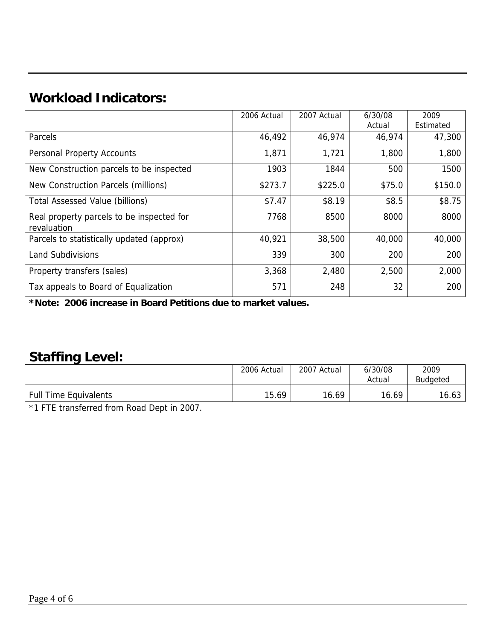## **Workload Indicators:**

|                                                          | 2006 Actual | 2007 Actual | 6/30/08 | 2009      |
|----------------------------------------------------------|-------------|-------------|---------|-----------|
|                                                          |             |             | Actual  | Estimated |
| Parcels                                                  | 46,492      | 46,974      | 46,974  | 47,300    |
| <b>Personal Property Accounts</b>                        | 1,871       | 1,721       | 1,800   | 1,800     |
| New Construction parcels to be inspected                 | 1903        | 1844        | 500     | 1500      |
| New Construction Parcels (millions)                      | \$273.7     | \$225.0     | \$75.0  | \$150.0   |
| <b>Total Assessed Value (billions)</b>                   | \$7.47      | \$8.19      | \$8.5   | \$8.75    |
| Real property parcels to be inspected for<br>revaluation | 7768        | 8500        | 8000    | 8000      |
| Parcels to statistically updated (approx)                | 40,921      | 38,500      | 40,000  | 40,000    |
| <b>Land Subdivisions</b>                                 | 339         | 300         | 200     | 200       |
| Property transfers (sales)                               | 3,368       | 2,480       | 2,500   | 2,000     |
| Tax appeals to Board of Equalization                     | 571         | 248         | 32      | 200       |

**\*Note: 2006 increase in Board Petitions due to market values.** 

#### **Staffing Level:**

|                              | 2006 Actual | 2007 Actual | 6/30/08<br>Actual | 2009<br><b>Budgeted</b> |
|------------------------------|-------------|-------------|-------------------|-------------------------|
| <b>Full Time Equivalents</b> | 15.69       | 16.69       | 16.69             | 16.63                   |

\*1 FTE transferred from Road Dept in 2007.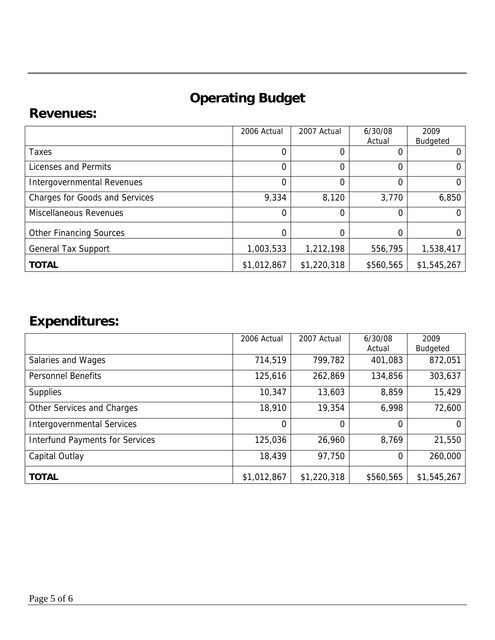# **Operating Budget**

#### **Revenues:**

|                                       | 2006 Actual    | 2007 Actual | 6/30/08<br>Actual | 2009<br>Budgeted |
|---------------------------------------|----------------|-------------|-------------------|------------------|
| Taxes                                 | $\overline{0}$ | 0           | 0                 |                  |
| Licenses and Permits                  | $\Omega$       | 0           | 0                 |                  |
| Intergovernmental Revenues            | $\mathbf 0$    | 0           | 0                 | 0                |
| <b>Charges for Goods and Services</b> | 9,334          | 8,120       | 3,770             | 6,850            |
| <b>Miscellaneous Revenues</b>         | $\Omega$       | $\Omega$    | 0                 |                  |
| <b>Other Financing Sources</b>        | 0              | 0           |                   |                  |
| <b>General Tax Support</b>            | 1,003,533      | 1,212,198   | 556,795           | 1,538,417        |
| <b>TOTAL</b>                          | \$1,012,867    | \$1,220,318 | \$560,565         | \$1,545,267      |

## **Expenditures:**

|                                        | 2006 Actual    | 2007 Actual | 6/30/08   | 2009            |
|----------------------------------------|----------------|-------------|-----------|-----------------|
|                                        |                |             | Actual    | <b>Budgeted</b> |
| Salaries and Wages                     | 714,519        | 799,782     | 401,083   | 872,051         |
| <b>Personnel Benefits</b>              | 125,616        | 262,869     | 134,856   | 303,637         |
| <b>Supplies</b>                        | 10,347         | 13,603      | 8,859     | 15,429          |
| Other Services and Charges             | 18,910         | 19,354      | 6,998     | 72,600          |
| <b>Intergovernmental Services</b>      | $\overline{0}$ | 0           | 0         | $\Omega$        |
| <b>Interfund Payments for Services</b> | 125,036        | 26,960      | 8,769     | 21,550          |
| Capital Outlay                         | 18,439         | 97,750      | 0         | 260,000         |
| <b>TOTAL</b>                           | \$1,012,867    | \$1,220,318 | \$560,565 | \$1,545,267     |